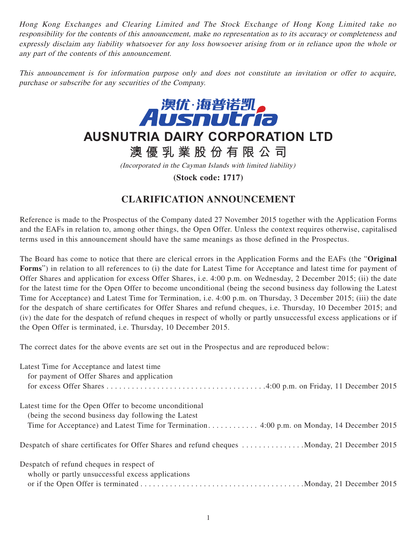Hong Kong Exchanges and Clearing Limited and The Stock Exchange of Hong Kong Limited take no responsibility for the contents of this announcement, make no representation as to its accuracy or completeness and expressly disclaim any liability whatsoever for any loss howsoever arising from or in reliance upon the whole or any part of the contents of this announcement.

This announcement is for information purpose only and does not constitute an invitation or offer to acquire, purchase or subscribe for any securities of the Company.



## **AUSNUTRIA DAIRY CORPORATION LTD**

**澳優乳業股份有限公司**

(Incorporated in the Cayman Islands with limited liability)

**(Stock code: 1717)**

## **CLARIFICATION ANNOUNCEMENT**

Reference is made to the Prospectus of the Company dated 27 November 2015 together with the Application Forms and the EAFs in relation to, among other things, the Open Offer. Unless the context requires otherwise, capitalised terms used in this announcement should have the same meanings as those defined in the Prospectus.

The Board has come to notice that there are clerical errors in the Application Forms and the EAFs (the "**Original Forms**") in relation to all references to (i) the date for Latest Time for Acceptance and latest time for payment of Offer Shares and application for excess Offer Shares, i.e. 4:00 p.m. on Wednesday, 2 December 2015; (ii) the date for the latest time for the Open Offer to become unconditional (being the second business day following the Latest Time for Acceptance) and Latest Time for Termination, i.e. 4:00 p.m. on Thursday, 3 December 2015; (iii) the date for the despatch of share certificates for Offer Shares and refund cheques, i.e. Thursday, 10 December 2015; and (iv) the date for the despatch of refund cheques in respect of wholly or partly unsuccessful excess applications or if the Open Offer is terminated, i.e. Thursday, 10 December 2015.

The correct dates for the above events are set out in the Prospectus and are reproduced below:

| Latest Time for Acceptance and latest time<br>for payment of Offer Shares and application   |
|---------------------------------------------------------------------------------------------|
|                                                                                             |
| Latest time for the Open Offer to become unconditional                                      |
| (being the second business day following the Latest                                         |
|                                                                                             |
| Despatch of share certificates for Offer Shares and refund cheques Monday, 21 December 2015 |
| Despatch of refund cheques in respect of                                                    |
| wholly or partly unsuccessful excess applications                                           |
|                                                                                             |